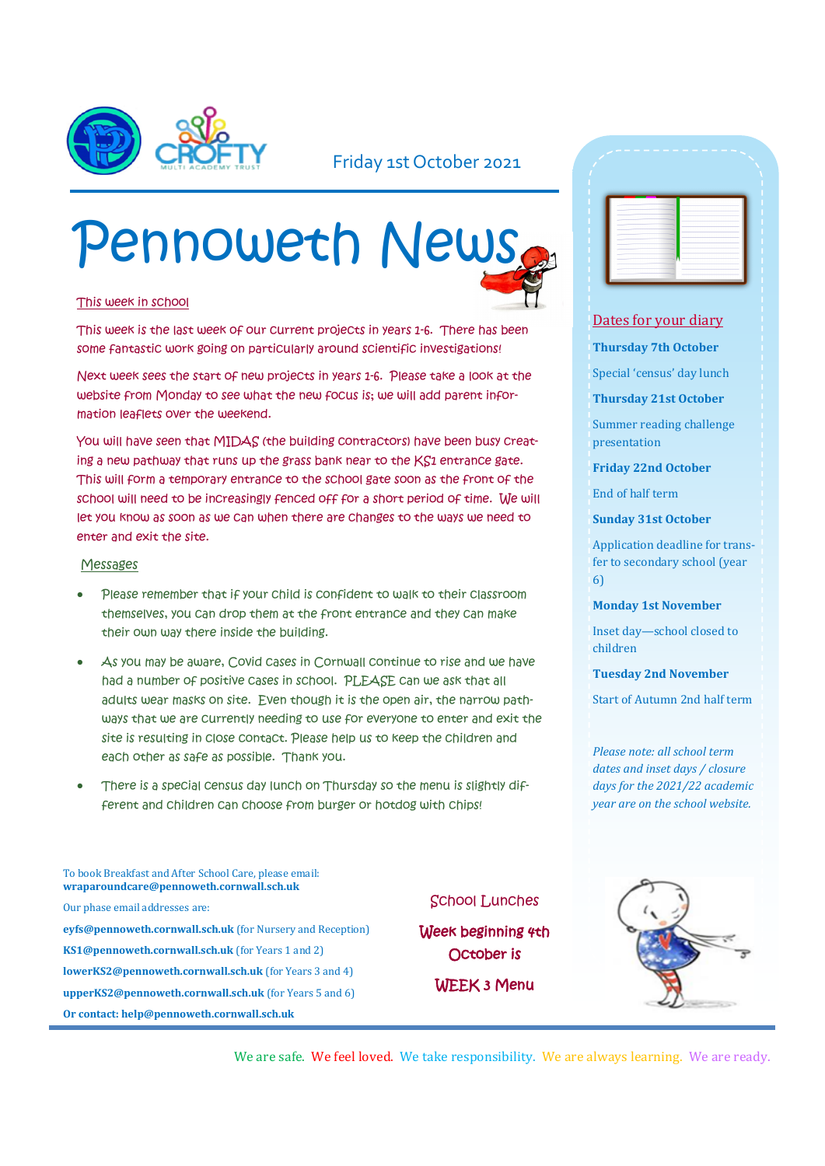

#### Friday 1st October 2021

# Pennoweth News

#### This week in school

This week is the last week of our current projects in years 1-6. There has been some fantastic work going on particularly around scientific investigations!

Next week sees the start of new projects in years 1-6. Please take a look at the website from Monday to see what the new focus is; we will add parent information leaflets over the weekend.

You will have seen that MIDAS (the building contractors) have been busy creating a new pathway that runs up the grass bank near to the KS1 entrance gate. This will form a temporary entrance to the school gate soon as the front of the school will need to be increasingly fenced off for a short period of time. We will let you know as soon as we can when there are changes to the ways we need to enter and exit the site.

#### Messages

- Please remember that if your child is confident to walk to their classroom themselves, you can drop them at the front entrance and they can make their own way there inside the building.
- As you may be aware, Covid cases in Cornwall continue to rise and we have had a number of positive cases in school. PLEASE can we ask that all adults wear masks on site. Even though it is the open air, the narrow pathways that we are currently needing to use for everyone to enter and exit the site is resulting in close contact. Please help us to keep the children and each other as safe as possible. Thank you.
- There is a special census day lunch on Thursday so the menu is slightly different and children can choose from burger or hotdog with chips!

To book Breakfast and After School Care, please email: **wraparoundcare@pennoweth.cornwall.sch.uk** Our phase email addresses are: **eyfs@pennoweth.cornwall.sch.uk** (for Nursery and Reception) **KS1@pennoweth.cornwall.sch.uk** (for Years 1 and 2) **lowerKS2@pennoweth.cornwall.sch.uk** (for Years 3 and 4) **upperKS2@pennoweth.cornwall.sch.uk** (for Years 5 and 6) **Or contact: help@pennoweth.cornwall.sch.uk**

#### School Lunches

Week beginning 4th October is WEEK 3 Menu



#### Dates for your diary

**Thursday 7th October**

Special 'census' day lunch

**Thursday 21st October**

Summer reading challenge presentation

**Friday 22nd October**

End of half term

**Sunday 31st October**

Application deadline for transfer to secondary school (year 6)

**Monday 1st November**

Inset day—school closed to children

**Tuesday 2nd November**

Start of Autumn 2nd half term

*Please note: all school term dates and inset days / closure days for the 2021/22 academic year are on the school website.* 



We are safe. We feel loved. We take responsibility. We are always learning. We are ready.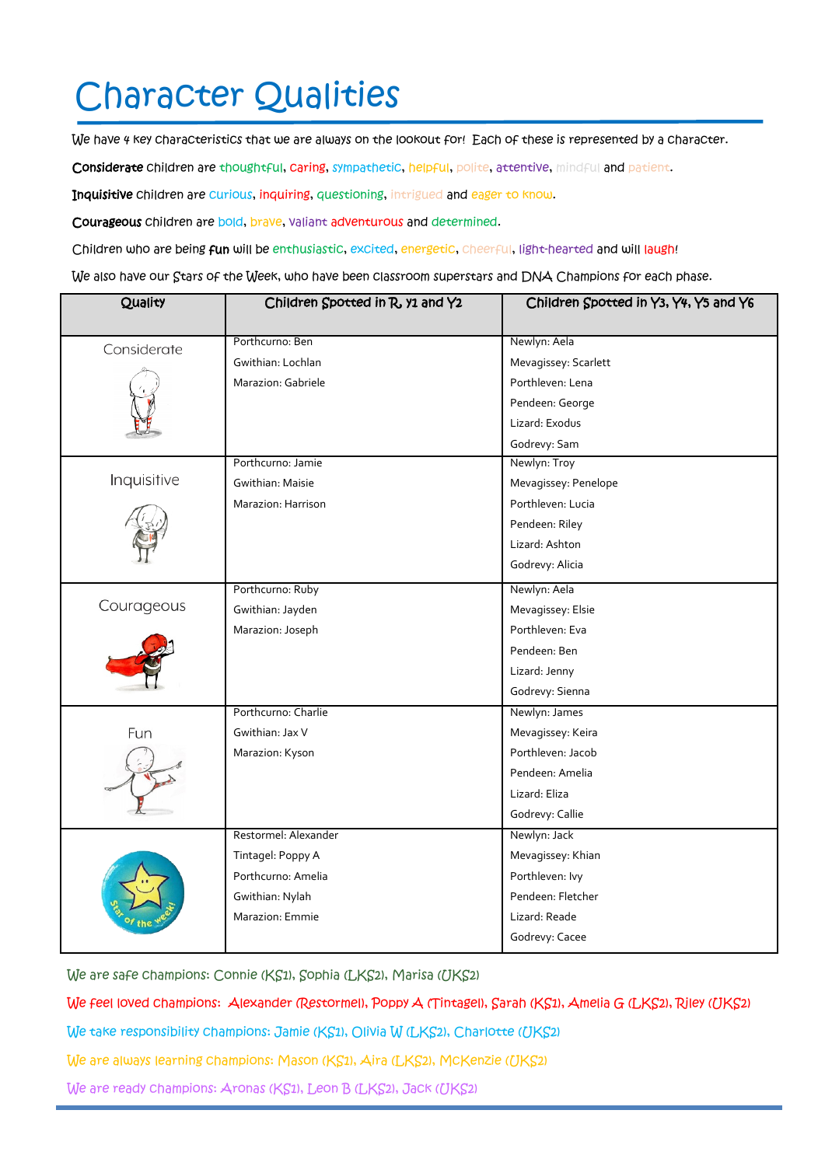## Character Qualities

We have 4 key characteristics that we are always on the lookout for! Each of these is represented by a character.

Considerate children are thoughtful, caring, sympathetic, helpful, polite, attentive, mindful and patient.

Inquisitive children are curious, inquiring, questioning, intrigued and eager to know.

Courageous children are bold, brave, valiant adventurous and determined.

Children who are being fun will be enthusiastic, excited, energetic, cheerful, light-hearted and will laugh!

We also have our Stars of the Week, who have been classroom superstars and DNA Champions for each phase.

| Quality     | Children Spotted in R, y1 and Y2 | Children Spotted in Y3, Y4, Y5 and Y6 |
|-------------|----------------------------------|---------------------------------------|
|             | Porthcurno: Ben                  |                                       |
| Considerate |                                  | Newlyn: Aela                          |
|             | Gwithian: Lochlan                | Mevagissey: Scarlett                  |
|             | Marazion: Gabriele               | Porthleven: Lena                      |
|             |                                  | Pendeen: George                       |
|             |                                  | Lizard: Exodus                        |
|             |                                  | Godrevy: Sam                          |
| Inquisitive | Porthcurno: Jamie                | Newlyn: Troy                          |
|             | Gwithian: Maisie                 | Mevagissey: Penelope                  |
|             | Marazion: Harrison               | Porthleven: Lucia                     |
|             |                                  | Pendeen: Riley                        |
|             |                                  | Lizard: Ashton                        |
|             |                                  | Godrevy: Alicia                       |
| Courageous  | Porthcurno: Ruby                 | Newlyn: Aela                          |
|             | Gwithian: Jayden                 | Mevagissey: Elsie                     |
|             | Marazion: Joseph                 | Porthleven: Eva                       |
|             |                                  | Pendeen: Ben                          |
|             |                                  | Lizard: Jenny                         |
|             |                                  | Godrevy: Sienna                       |
|             | Porthcurno: Charlie              | Newlyn: James                         |
| Fun         | Gwithian: Jax V                  | Mevagissey: Keira                     |
|             | Marazion: Kyson                  | Porthleven: Jacob                     |
|             |                                  | Pendeen: Amelia                       |
|             |                                  | Lizard: Eliza                         |
|             |                                  | Godrevy: Callie                       |
|             | Restormel: Alexander             | Newlyn: Jack                          |
|             | Tintagel: Poppy A                | Mevagissey: Khian                     |
|             | Porthcurno: Amelia               | Porthleven: Ivy                       |
|             | Gwithian: Nylah                  | Pendeen: Fletcher                     |
|             | Marazion: Emmie                  | Lizard: Reade                         |
|             |                                  | Godrevy: Cacee                        |

We are safe champions: Connie (KS1), Sophia (LKS2), Marisa (UKS2)

We feel loved champions: Alexander (Restormel), Poppy A (Tintagel), Sarah (KS1), Amelia G (LKS2), Riley (UKS2)

We take responsibility champions: Jamie (KS1), Olivia W (LKS2), Charlotte (UKS2)

We are always learning champions: Mason (KS1), Aira (LKS2), McKenzie (UKS2)

We are ready champions: Aronas (KS1), Leon B (LKS2), Jack (UKS2)